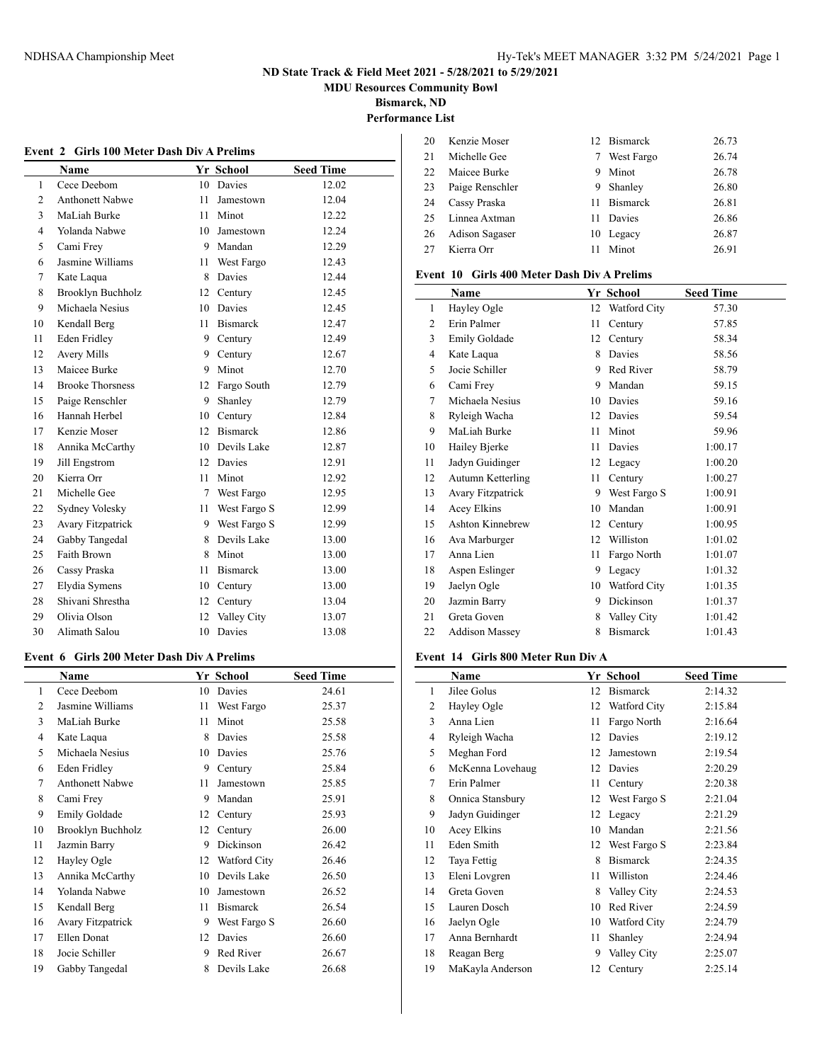**MDU Resources Community Bowl**

**Bismarck, ND**

**Performance List**

|                | Event 2 Girls 100 Meter Dash Div A Prelims |     |                 |                  |  |  |
|----------------|--------------------------------------------|-----|-----------------|------------------|--|--|
|                | Name                                       |     | Yr School       | <b>Seed Time</b> |  |  |
| 1              | Cece Deebom                                |     | 10 Davies       | 12.02            |  |  |
| $\overline{c}$ | <b>Anthonett Nabwe</b>                     | 11  | Jamestown       | 12.04            |  |  |
| 3              | MaLiah Burke                               | 11. | Minot           | 12.22            |  |  |
| $\overline{4}$ | Yolanda Nabwe                              | 10  | Jamestown       | 12.24            |  |  |
| 5              | Cami Frey                                  |     | 9 Mandan        | 12.29            |  |  |
| 6              | Jasmine Williams                           | 11  | West Fargo      | 12.43            |  |  |
| $\tau$         | Kate Laqua                                 |     | 8 Davies        | 12.44            |  |  |
| 8              | <b>Brooklyn Buchholz</b>                   |     | 12 Century      | 12.45            |  |  |
| 9              | Michaela Nesius                            |     | 10 Davies       | 12.45            |  |  |
| 10             | Kendall Berg                               | 11. | <b>Bismarck</b> | 12.47            |  |  |
| 11             | <b>Eden Fridley</b>                        |     | 9 Century       | 12.49            |  |  |
| 12             | <b>Avery Mills</b>                         |     | 9 Century       | 12.67            |  |  |
| 13             | Maicee Burke                               | 9   | Minot           | 12.70            |  |  |
| 14             | <b>Brooke Thorsness</b>                    |     | 12 Fargo South  | 12.79            |  |  |
| 15             | Paige Renschler                            |     | 9 Shanley       | 12.79            |  |  |
| 16             | Hannah Herbel                              |     | 10 Century      | 12.84            |  |  |
| 17             | Kenzie Moser                               |     | 12 Bismarck     | 12.86            |  |  |
| 18             | Annika McCarthy                            |     | 10 Devils Lake  | 12.87            |  |  |
| 19             | Jill Engstrom                              |     | 12 Davies       | 12.91            |  |  |
| 20             | Kierra Orr                                 | 11  | Minot           | 12.92            |  |  |
| 21             | Michelle Gee                               |     | 7 West Fargo    | 12.95            |  |  |
| 22             | Sydney Volesky                             |     | 11 West Fargo S | 12.99            |  |  |
| 23             | <b>Avary Fitzpatrick</b>                   |     | 9 West Fargo S  | 12.99            |  |  |
| 24             | Gabby Tangedal                             | 8   | Devils Lake     | 13.00            |  |  |
| 25             | Faith Brown                                | 8   | Minot           | 13.00            |  |  |
| 26             | Cassy Praska                               | 11  | <b>Bismarck</b> | 13.00            |  |  |
| 27             | Elydia Symens                              |     | 10 Century      | 13.00            |  |  |
| 28             | Shivani Shrestha                           | 12  | Century         | 13.04            |  |  |
| 29             | Olivia Olson                               | 12  | Valley City     | 13.07            |  |  |
| 30             | Alimath Salou                              | 10  | Davies          | 13.08            |  |  |

#### **Event 6 Girls 200 Meter Dash Div A Prelims**

|                | Name                     |    | Yr School       | <b>Seed Time</b> |
|----------------|--------------------------|----|-----------------|------------------|
| 1              | Cece Deebom              | 10 | Davies          | 24.61            |
| $\mathfrak{D}$ | Jasmine Williams         | 11 | West Fargo      | 25.37            |
| 3              | MaLiah Burke             | 11 | Minot           | 25.58            |
| 4              | Kate Laqua               | 8  | Davies          | 25.58            |
| 5              | Michaela Nesius          | 10 | Davies          | 25.76            |
| 6              | Eden Fridley             | 9  | Century         | 25.84            |
| 7              | <b>Anthonett Nabwe</b>   | 11 | Jamestown       | 25.85            |
| 8              | Cami Frey                | 9  | Mandan          | 25.91            |
| 9              | Emily Goldade            | 12 | Century         | 25.93            |
| 10             | Brooklyn Buchholz        | 12 | Century         | 26.00            |
| 11             | Jazmin Barry             | 9  | Dickinson       | 26.42            |
| 12             | Hayley Ogle              | 12 | Watford City    | 26.46            |
| 13             | Annika McCarthy          | 10 | Devils Lake     | 26.50            |
| 14             | Yolanda Nabwe            | 10 | Jamestown       | 26.52            |
| 15             | Kendall Berg             | 11 | <b>Bismarck</b> | 26.54            |
| 16             | <b>Avary Fitzpatrick</b> | 9  | West Fargo S    | 26.60            |
| 17             | Ellen Donat              | 12 | Davies          | 26.60            |
| 18             | Jocie Schiller           | 9  | Red River       | 26.67            |
| 19             | Gabby Tangedal           | 8  | Devils Lake     | 26.68            |

| 20 | Kenzie Moser    |    | 12 Bismarck | 26.73 |
|----|-----------------|----|-------------|-------|
| 21 | Michelle Gee    |    | West Fargo  | 26.74 |
| 22 | Maicee Burke    | 9. | Minot       | 26.78 |
| 23 | Paige Renschler | 9. | Shanley     | 26.80 |
| 24 | Cassy Praska    |    | 11 Bismarck | 26.81 |
| 25 | Linnea Axtman   | 11 | Davies      | 26.86 |
| 26 | Adison Sagaser  |    | 10 Legacy   | 26.87 |
| 27 | Kierra Orr      | 11 | Minot       | 26.91 |
|    |                 |    |             |       |

#### **Event 10 Girls 400 Meter Dash Div A Prelims**

|              | Name                     |    | Yr School       | <b>Seed Time</b> |
|--------------|--------------------------|----|-----------------|------------------|
| $\mathbf{1}$ | Hayley Ogle              | 12 | Watford City    | 57.30            |
| 2            | Erin Palmer              | 11 | Century         | 57.85            |
| 3            | Emily Goldade            | 12 | Century         | 58.34            |
| 4            | Kate Laqua               | 8  | <b>Davies</b>   | 58.56            |
| 5            | Jocie Schiller           | 9  | Red River       | 58.79            |
| 6            | Cami Frey                | 9  | Mandan          | 59.15            |
| 7            | Michaela Nesius          | 10 | Davies          | 59.16            |
| 8            | Ryleigh Wacha            | 12 | Davies          | 59.54            |
| 9            | MaLiah Burke             | 11 | Minot           | 59.96            |
| 10           | Hailey Bjerke            | 11 | Davies          | 1:00.17          |
| 11           | Jadyn Guidinger          | 12 | Legacy          | 1:00.20          |
| 12           | Autumn Ketterling        | 11 | Century         | 1:00.27          |
| 13           | <b>Avary Fitzpatrick</b> | 9  | West Fargo S    | 1:00.91          |
| 14           | Acey Elkins              | 10 | Mandan          | 1:00.91          |
| 15           | <b>Ashton Kinnebrew</b>  | 12 | Century         | 1:00.95          |
| 16           | Ava Marburger            | 12 | Williston       | 1:01.02          |
| 17           | Anna Lien                | 11 | Fargo North     | 1:01.07          |
| 18           | Aspen Eslinger           | 9  | Legacy          | 1:01.32          |
| 19           | Jaelyn Ogle              | 10 | Watford City    | 1:01.35          |
| 20           | Jazmin Barry             | 9  | Dickinson       | 1:01.37          |
| 21           | Greta Goven              | 8  | Valley City     | 1:01.42          |
| 22           | <b>Addison Massey</b>    | 8  | <b>Bismarck</b> | 1:01.43          |

#### **Event 14 Girls 800 Meter Run Div A**

|    | Name             |    | Yr School       | <b>Seed Time</b> |
|----|------------------|----|-----------------|------------------|
| 1  | Jilee Golus      | 12 | <b>Bismarck</b> | 2:14.32          |
| 2  | Hayley Ogle      | 12 | Watford City    | 2:15.84          |
| 3  | Anna Lien        | 11 | Fargo North     | 2:16.64          |
| 4  | Ryleigh Wacha    | 12 | Davies          | 2:19.12          |
| 5  | Meghan Ford      | 12 | Jamestown       | 2:19.54          |
| 6  | McKenna Lovehaug | 12 | Davies          | 2:20.29          |
| 7  | Erin Palmer      | 11 | Century         | 2:20.38          |
| 8  | Onnica Stansbury | 12 | West Fargo S    | 2:21.04          |
| 9  | Jadyn Guidinger  | 12 | Legacy          | 2:21.29          |
| 10 | Acey Elkins      | 10 | Mandan          | 2:21.56          |
| 11 | Eden Smith       | 12 | West Fargo S    | 2:23.84          |
| 12 | Taya Fettig      | 8  | <b>Bismarck</b> | 2:24.35          |
| 13 | Eleni Lovgren    | 11 | Williston       | 2:24.46          |
| 14 | Greta Goven      | 8  | Valley City     | 2:24.53          |
| 15 | Lauren Dosch     | 10 | Red River       | 2:24.59          |
| 16 | Jaelyn Ogle      | 10 | Watford City    | 2:24.79          |
| 17 | Anna Bernhardt   | 11 | Shanley         | 2:24.94          |
| 18 | Reagan Berg      | 9  | Valley City     | 2:25.07          |
| 19 | MaKayla Anderson | 12 | Century         | 2:25.14          |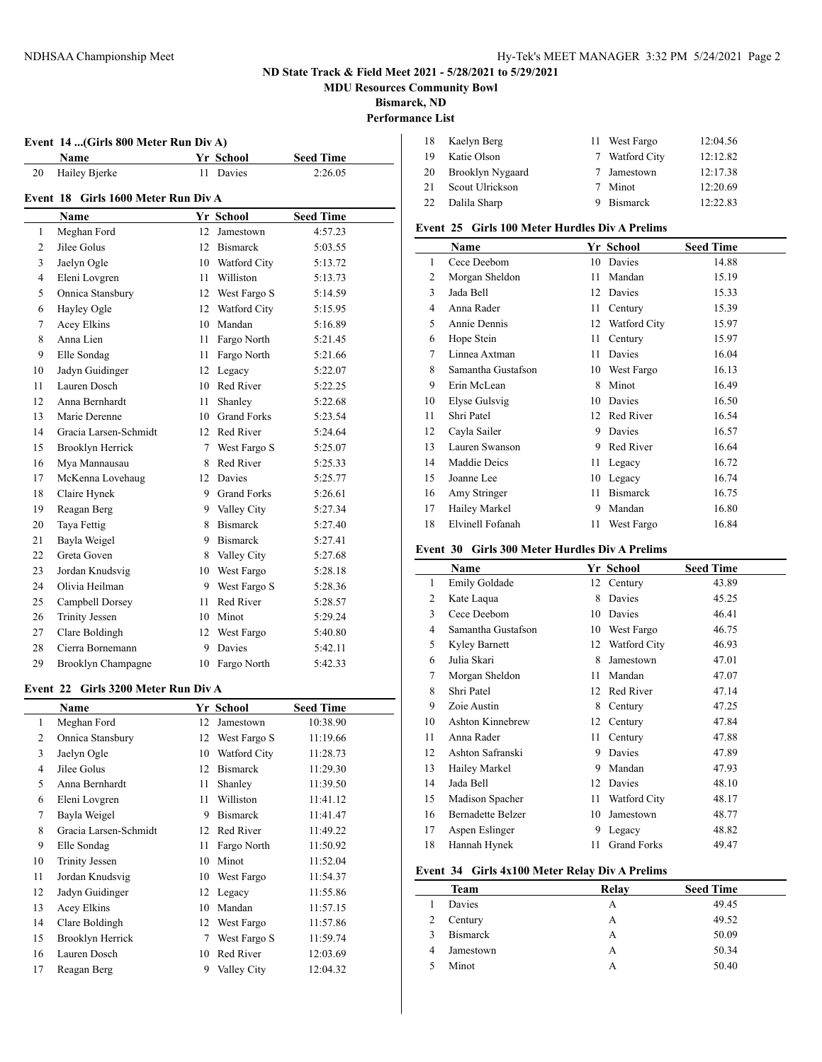**MDU Resources Community Bowl**

**Bismarck, ND**

# **Performance List**

#### **Event 14 ...(Girls 800 Meter Run Div A)**

|    | <b>Name</b>   | Yr School | <b>Seed Time</b> |
|----|---------------|-----------|------------------|
| 20 | Hailey Bjerke | 11 Davies | 2:26.05          |
|    |               |           |                  |

#### **Event 18 Girls 1600 Meter Run Div A**

|              | Name                  |                 | Yr School          | <b>Seed Time</b> |  |  |  |
|--------------|-----------------------|-----------------|--------------------|------------------|--|--|--|
| $\mathbf{1}$ | Meghan Ford           | 12              | Jamestown          | 4:57.23          |  |  |  |
| 2            | Jilee Golus           | 12              | <b>Bismarck</b>    | 5:03.55          |  |  |  |
| 3            | Jaelyn Ogle           |                 | 10 Watford City    | 5:13.72          |  |  |  |
| 4            | Eleni Lovgren         | 11              | Williston          | 5:13.73          |  |  |  |
| 5            | Onnica Stansbury      | 12              | West Fargo S       | 5:14.59          |  |  |  |
| 6            | Hayley Ogle           |                 | 12 Watford City    | 5:15.95          |  |  |  |
| 7            | Acey Elkins           |                 | 10 Mandan          | 5:16.89          |  |  |  |
| 8            | Anna Lien             | 11              | Fargo North        | 5:21.45          |  |  |  |
| 9            | Elle Sondag           | 11              | Fargo North        | 5:21.66          |  |  |  |
| 10           | Jadyn Guidinger       | 12              | Legacy             | 5:22.07          |  |  |  |
| 11           | Lauren Dosch          | 10              | Red River          | 5:22.25          |  |  |  |
| 12           | Anna Bernhardt        | 11              | Shanley            | 5:22.68          |  |  |  |
| 13           | Marie Derenne         | 10              | <b>Grand Forks</b> | 5:23.54          |  |  |  |
| 14           | Gracia Larsen-Schmidt |                 | 12 Red River       | 5:24.64          |  |  |  |
| 15           | Brooklyn Herrick      | $7\overline{ }$ | West Fargo S       | 5:25.07          |  |  |  |
| 16           | Mya Mannausau         | 8               | Red River          | 5:25.33          |  |  |  |
| 17           | McKenna Lovehaug      | 12              | Davies             | 5:25.77          |  |  |  |
| 18           | Claire Hynek          |                 | 9 Grand Forks      | 5:26.61          |  |  |  |
| 19           | Reagan Berg           |                 | 9 Valley City      | 5:27.34          |  |  |  |
| 20           | Taya Fettig           | 8               | <b>Bismarck</b>    | 5:27.40          |  |  |  |
| 21           | Bayla Weigel          | 9               | <b>Bismarck</b>    | 5:27.41          |  |  |  |
| 22           | Greta Goven           | 8               | Valley City        | 5:27.68          |  |  |  |
| 23           | Jordan Knudsvig       |                 | 10 West Fargo      | 5:28.18          |  |  |  |
| 24           | Olivia Heilman        | 9               | West Fargo S       | 5:28.36          |  |  |  |
| 25           | Campbell Dorsey       | 11              | Red River          | 5:28.57          |  |  |  |
| 26           | <b>Trinity Jessen</b> | 10              | Minot              | 5:29.24          |  |  |  |
| 27           | Clare Boldingh        |                 | 12 West Fargo      | 5:40.80          |  |  |  |
| 28           | Cierra Bornemann      | 9               | Davies             | 5:42.11          |  |  |  |
| 29           | Brooklyn Champagne    | 10              | Fargo North        | 5:42.33          |  |  |  |

#### **Event 22 Girls 3200 Meter Run Div A**

 $\overline{a}$ 

|    | Name                  |    | Yr School       | <b>Seed Time</b> |
|----|-----------------------|----|-----------------|------------------|
| 1  | Meghan Ford           | 12 | Jamestown       | 10:38.90         |
| 2  | Onnica Stansbury      | 12 | West Fargo S    | 11:19.66         |
| 3  | Jaelyn Ogle           | 10 | Watford City    | 11:28.73         |
| 4  | Jilee Golus           | 12 | <b>Bismarck</b> | 11:29.30         |
| 5  | Anna Bernhardt        | 11 | Shanley         | 11:39.50         |
| 6  | Eleni Lovgren         | 11 | Williston       | 11:41.12         |
| 7  | Bayla Weigel          | 9  | <b>Bismarck</b> | 11:41.47         |
| 8  | Gracia Larsen-Schmidt | 12 | Red River       | 11:49.22         |
| 9  | Elle Sondag           | 11 | Fargo North     | 11:50.92         |
| 10 | <b>Trinity Jessen</b> | 10 | Minot           | 11:52.04         |
| 11 | Jordan Knudsvig       | 10 | West Fargo      | 11:54.37         |
| 12 | Jadyn Guidinger       | 12 | Legacy          | 11:55.86         |
| 13 | Acey Elkins           | 10 | Mandan          | 11:57.15         |
| 14 | Clare Boldingh        | 12 | West Fargo      | 11:57.86         |
| 15 | Brooklyn Herrick      | 7  | West Fargo S    | 11:59.74         |
| 16 | Lauren Dosch          | 10 | Red River       | 12:03.69         |
| 17 | Reagan Berg           | 9  | Valley City     | 12:04.32         |

| -18 | Kaelyn Berg      | 11 West Fargo  | 12:04.56 |
|-----|------------------|----------------|----------|
| -19 | Katie Olson      | 7 Watford City | 12:12.82 |
| 20  | Brooklyn Nygaard | 7 Jamestown    | 12:17.38 |
| 21  | Scout Ulrickson  | 7 Minot        | 12:20.69 |
| 22  | Dalila Sharp     | 9 Bismarck     | 12:22.83 |

### **Event 25 Girls 100 Meter Hurdles Div A Prelims**

|    | Yr School<br>Name  |    |                 | <b>Seed Time</b> |
|----|--------------------|----|-----------------|------------------|
| 1  | Cece Deebom        | 10 | Davies          | 14.88            |
| 2  | Morgan Sheldon     | 11 | Mandan          | 15.19            |
| 3  | Jada Bell          | 12 | Davies          | 15.33            |
| 4  | Anna Rader         | 11 | Century         | 15.39            |
| 5  | Annie Dennis       | 12 | Watford City    | 15.97            |
| 6  | Hope Stein         | 11 | Century         | 15.97            |
| 7  | Linnea Axtman      | 11 | Davies          | 16.04            |
| 8  | Samantha Gustafson | 10 | West Fargo      | 16.13            |
| 9  | Erin McLean        | 8  | Minot           | 16.49            |
| 10 | Elyse Gulsvig      | 10 | Davies          | 16.50            |
| 11 | Shri Patel         | 12 | Red River       | 16.54            |
| 12 | Cayla Sailer       | 9  | Davies          | 16.57            |
| 13 | Lauren Swanson     | 9  | Red River       | 16.64            |
| 14 | Maddie Deics       | 11 | Legacy          | 16.72            |
| 15 | Joanne Lee         | 10 | Legacy          | 16.74            |
| 16 | Amy Stringer       | 11 | <b>Bismarck</b> | 16.75            |
| 17 | Hailey Markel      | 9  | Mandan          | 16.80            |
| 18 | Elvinell Fofanah   | 11 | West Fargo      | 16.84            |

## **Event 30 Girls 300 Meter Hurdles Div A Prelims**

|    | Name                     |    | Yr School          | <b>Seed Time</b> |
|----|--------------------------|----|--------------------|------------------|
| 1  | Emily Goldade            |    | 12 Century         | 43.89            |
| 2  | Kate Laqua               | 8  | Davies             | 45.25            |
| 3  | Cece Deebom              | 10 | Davies             | 46.41            |
| 4  | Samantha Gustafson       | 10 | West Fargo         | 46.75            |
| 5  | Kyley Barnett            | 12 | Watford City       | 46.93            |
| 6  | Julia Skari              | 8  | Jamestown          | 47.01            |
| 7  | Morgan Sheldon           | 11 | Mandan             | 47.07            |
| 8  | Shri Patel               | 12 | Red River          | 47.14            |
| 9  | Zoie Austin              | 8  | Century            | 47.25            |
| 10 | <b>Ashton Kinnebrew</b>  | 12 | Century            | 47.84            |
| 11 | Anna Rader               | 11 | Century            | 47.88            |
| 12 | Ashton Safranski         | 9  | Davies             | 47.89            |
| 13 | Hailey Markel            | 9  | Mandan             | 47.93            |
| 14 | Jada Bell                | 12 | Davies             | 48.10            |
| 15 | Madison Spacher          | 11 | Watford City       | 48.17            |
| 16 | <b>Bernadette Belzer</b> | 10 | Jamestown          | 48.77            |
| 17 | Aspen Eslinger           | 9  | Legacy             | 48.82            |
| 18 | Hannah Hynek             | 11 | <b>Grand Forks</b> | 49.47            |

#### **Event 34 Girls 4x100 Meter Relay Div A Prelims**

|   | Team            | Relay | <b>Seed Time</b> |
|---|-----------------|-------|------------------|
|   | Davies          | А     | 49.45            |
| 2 | Century         | А     | 49.52            |
| 3 | <b>Bismarck</b> | А     | 50.09            |
| 4 | Jamestown       | А     | 50.34            |
|   | Minot           | А     | 50.40            |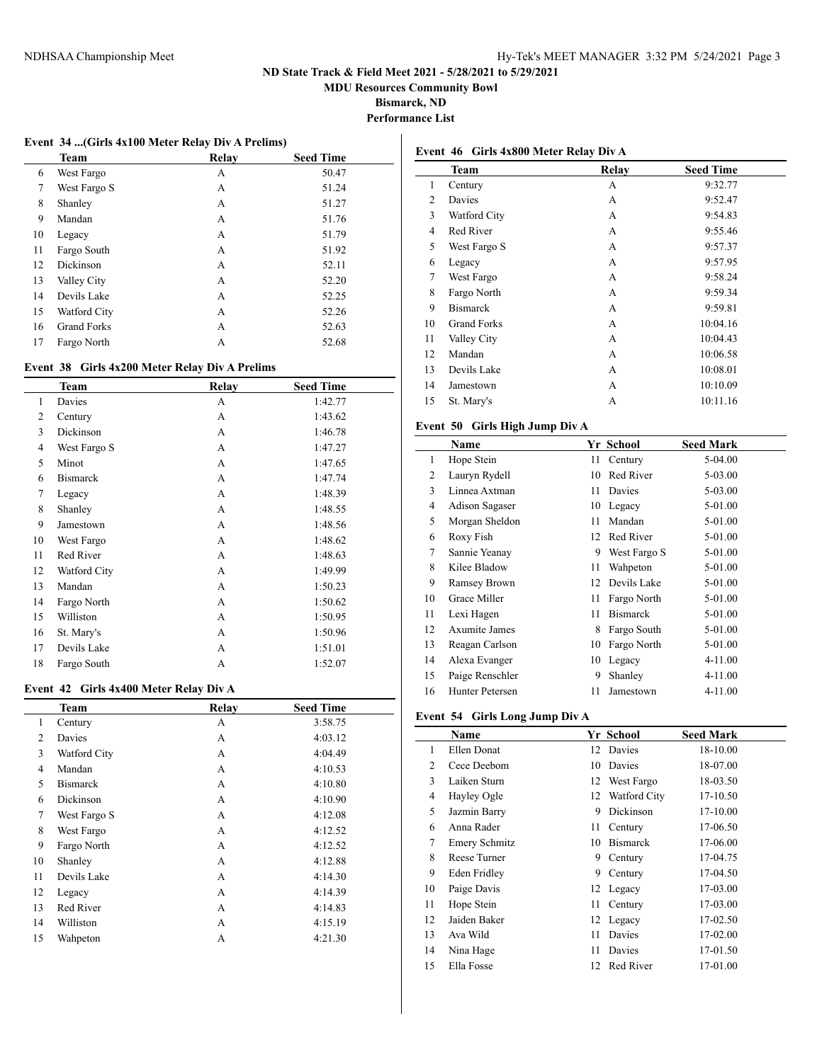**MDU Resources Community Bowl**

**Bismarck, ND**

**Performance List**

#### **Event 34 ...(Girls 4x100 Meter Relay Div A Prelims)**

|    | <b>Team</b>        | Relav | <b>Seed Time</b> |
|----|--------------------|-------|------------------|
| 6  | West Fargo         | А     | 50.47            |
| 7  | West Fargo S       | А     | 51.24            |
| 8  | Shanley            | А     | 51.27            |
| 9  | Mandan             | A     | 51.76            |
| 10 | Legacy             | А     | 51.79            |
| 11 | Fargo South        | А     | 51.92            |
| 12 | Dickinson          | А     | 52.11            |
| 13 | Valley City        | А     | 52.20            |
| 14 | Devils Lake        | А     | 52.25            |
| 15 | Watford City       | A     | 52.26            |
| 16 | <b>Grand Forks</b> | A     | 52.63            |
| 17 | Fargo North        | А     | 52.68            |

### **Event 38 Girls 4x200 Meter Relay Div A Prelims**

|                | Team            | Relav | <b>Seed Time</b> |
|----------------|-----------------|-------|------------------|
| $\mathbf{1}$   | Davies          | A     | 1:42.77          |
| 2              | Century         | A     | 1:43.62          |
| 3              | Dickinson       | A     | 1:46.78          |
| $\overline{4}$ | West Fargo S    | A     | 1:47.27          |
| 5              | Minot           | A     | 1:47.65          |
| 6              | <b>Bismarck</b> | A     | 1:47.74          |
| 7              | Legacy          | A     | 1:48.39          |
| 8              | Shanley         | A     | 1:48.55          |
| 9              | Jamestown       | A     | 1:48.56          |
| 10             | West Fargo      | A     | 1:48.62          |
| 11             | Red River       | A     | 1:48.63          |
| 12             | Watford City    | A     | 1:49.99          |
| 13             | Mandan          | A     | 1:50.23          |
| 14             | Fargo North     | A     | 1:50.62          |
| 15             | Williston       | A     | 1:50.95          |
| 16             | St. Mary's      | A     | 1:50.96          |
| 17             | Devils Lake     | A     | 1:51.01          |
| 18             | Fargo South     | A     | 1:52.07          |

## **Event 42 Girls 4x400 Meter Relay Div A**

|    | <b>Team</b>     | Relay | <b>Seed Time</b> |
|----|-----------------|-------|------------------|
| 1  | Century         | А     | 3:58.75          |
| 2  | Davies          | A     | 4:03.12          |
| 3  | Watford City    | A     | 4:04.49          |
| 4  | Mandan          | A     | 4:10.53          |
| 5  | <b>Bismarck</b> | A     | 4:10.80          |
| 6  | Dickinson       | A     | 4:10.90          |
| 7  | West Fargo S    | A     | 4:12.08          |
| 8  | West Fargo      | A     | 4:12.52          |
| 9  | Fargo North     | A     | 4:12.52          |
| 10 | Shanley         | A     | 4:12.88          |
| 11 | Devils Lake     | A     | 4:14.30          |
| 12 | Legacy          | A     | 4:14.39          |
| 13 | Red River       | A     | 4:14.83          |
| 14 | Williston       | A     | 4:15.19          |
| 15 | Wahpeton        | А     | 4:21.30          |

|                | Event 46 Girls 4x800 Meter Relay Div A |              |                  |  |
|----------------|----------------------------------------|--------------|------------------|--|
|                | Team                                   | <b>Relay</b> | <b>Seed Time</b> |  |
| 1              | Century                                | А            | 9:32.77          |  |
| 2              | Davies                                 | А            | 9:52.47          |  |
| 3              | Watford City                           | A            | 9:54.83          |  |
| $\overline{4}$ | Red River                              | A            | 9:55.46          |  |
| 5              | West Fargo S                           | А            | 9:57.37          |  |
| 6              | Legacy                                 | А            | 9:57.95          |  |
| 7              | West Fargo                             | А            | 9:58.24          |  |
| 8              | Fargo North                            | А            | 9:59.34          |  |
| 9              | <b>Bismarck</b>                        | А            | 9:59.81          |  |
| 10             | <b>Grand Forks</b>                     | А            | 10:04.16         |  |
| 11             | Valley City                            | А            | 10:04.43         |  |
| 12             | Mandan                                 | A            | 10:06.58         |  |
| 13             | Devils Lake                            | A            | 10:08.01         |  |
| 14             | Jamestown                              | А            | 10:10.09         |  |
| 15             | St. Mary's                             | А            | 10:11.16         |  |

### **Event 50 Girls High Jump Div A**

|                | Name            |      | Yr School       | <b>Seed Mark</b> |
|----------------|-----------------|------|-----------------|------------------|
| 1              | Hope Stein      | 11 - | Century         | 5-04.00          |
| 2              | Lauryn Rydell   | 10   | Red River       | 5-03.00          |
| 3              | Linnea Axtman   | 11   | Davies          | 5-03.00          |
| $\overline{4}$ | Adison Sagaser  | 10   | Legacy          | 5-01.00          |
| 5              | Morgan Sheldon  | 11   | Mandan          | 5-01.00          |
| 6              | Roxy Fish       | 12   | Red River       | 5-01.00          |
| 7              | Sannie Yeanay   | 9    | West Fargo S    | 5-01.00          |
| 8              | Kilee Bladow    | 11   | Wahpeton        | 5-01.00          |
| 9              | Ramsey Brown    | 12   | Devils Lake     | 5-01.00          |
| 10             | Grace Miller    | 11   | Fargo North     | 5-01.00          |
| 11             | Lexi Hagen      | 11   | <b>Bismarck</b> | 5-01.00          |
| 12             | Axumite James   | 8    | Fargo South     | 5-01.00          |
| 13             | Reagan Carlson  | 10   | Fargo North     | 5-01.00          |
| 14             | Alexa Evanger   | 10   | Legacy          | 4-11.00          |
| 15             | Paige Renschler | 9    | Shanley         | 4-11.00          |
| 16             | Hunter Petersen | 11   | Jamestown       | 4-11.00          |

### **Event 54 Girls Long Jump Div A**

|    | Name                 |    | Yr School       | <b>Seed Mark</b> |
|----|----------------------|----|-----------------|------------------|
| 1  | Ellen Donat          | 12 | Davies          | 18-10.00         |
| 2  | Cece Deebom          | 10 | Davies          | 18-07.00         |
| 3  | Laiken Sturn         | 12 | West Fargo      | 18-03.50         |
| 4  | Hayley Ogle          | 12 | Watford City    | 17-10.50         |
| 5  | Jazmin Barry         | 9  | Dickinson       | 17-10.00         |
| 6  | Anna Rader           | 11 | Century         | 17-06.50         |
| 7  | <b>Emery Schmitz</b> | 10 | <b>Bismarck</b> | 17-06.00         |
| 8  | Reese Turner         | 9  | Century         | 17-04.75         |
| 9  | Eden Fridley         | 9  | Century         | 17-04.50         |
| 10 | Paige Davis          | 12 | Legacy          | 17-03.00         |
| 11 | Hope Stein           | 11 | Century         | 17-03.00         |
| 12 | Jaiden Baker         |    | 12 Legacy       | 17-02.50         |
| 13 | Ava Wild             | 11 | Davies          | 17-02.00         |
| 14 | Nina Hage            | 11 | Davies          | 17-01.50         |
| 15 | Ella Fosse           | 12 | Red River       | 17-01.00         |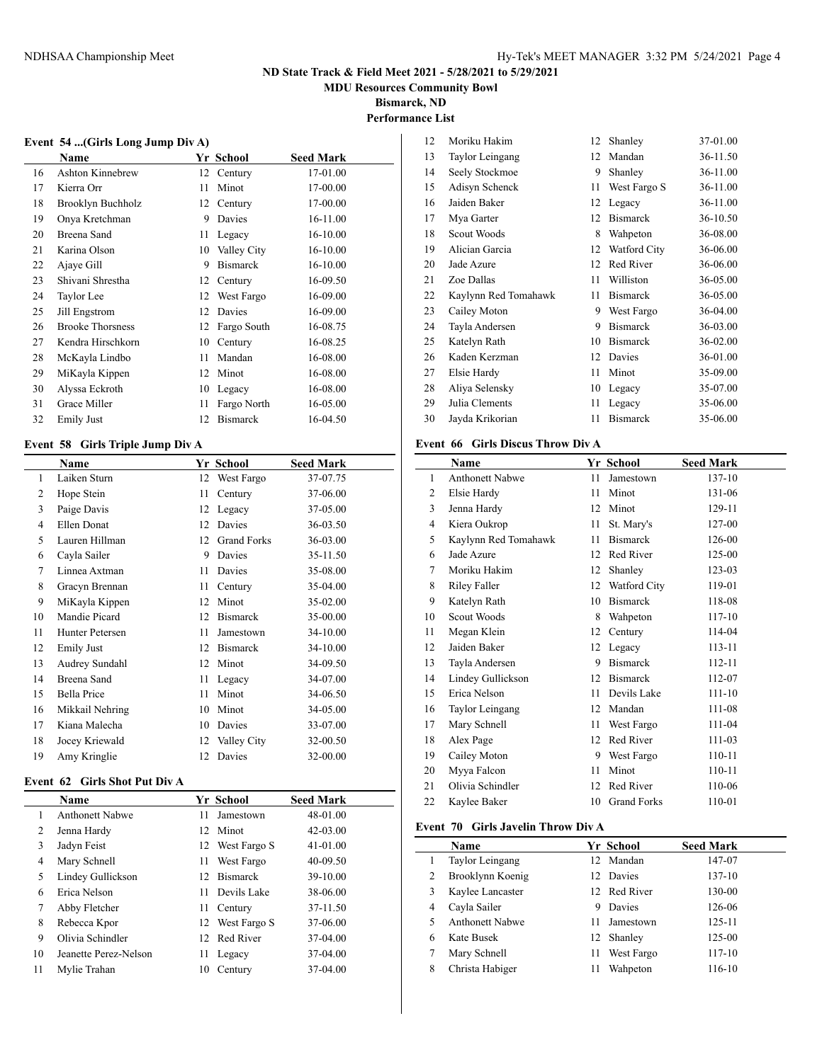**MDU Resources Community Bowl**

**Bismarck, ND Performance List**

#### **Event 54 ...(Girls Long Jump Div A)**

|    | Name                    |    | Yr School       | <b>Seed Mark</b> |
|----|-------------------------|----|-----------------|------------------|
| 16 | <b>Ashton Kinnebrew</b> | 12 | Century         | 17-01.00         |
| 17 | Kierra Orr              | 11 | Minot           | 17-00.00         |
| 18 | Brooklyn Buchholz       | 12 | Century         | 17-00.00         |
| 19 | Onya Kretchman          | 9  | Davies          | 16-11.00         |
| 20 | Breena Sand             | 11 | Legacy          | 16-10.00         |
| 21 | Karina Olson            | 10 | Valley City     | 16-10.00         |
| 22 | Ajaye Gill              | 9  | <b>Bismarck</b> | 16-10.00         |
| 23 | Shivani Shrestha        | 12 | Century         | 16-09.50         |
| 24 | Taylor Lee              | 12 | West Fargo      | 16-09.00         |
| 25 | Jill Engstrom           | 12 | Davies          | 16-09.00         |
| 26 | <b>Brooke Thorsness</b> | 12 | Fargo South     | 16-08.75         |
| 27 | Kendra Hirschkorn       | 10 | Century         | 16-08.25         |
| 28 | McKayla Lindbo          | 11 | Mandan          | 16-08.00         |
| 29 | MiKayla Kippen          | 12 | Minot           | 16-08.00         |
| 30 | Alyssa Eckroth          | 10 | Legacy          | 16-08.00         |
| 31 | Grace Miller            | 11 | Fargo North     | 16-05.00         |
| 32 | <b>Emily Just</b>       | 12 | <b>Bismarck</b> | 16-04.50         |

### **Event 58 Girls Triple Jump Div A**

 $\overline{a}$ 

|                | Name               |    | Yr School          | <b>Seed Mark</b> |
|----------------|--------------------|----|--------------------|------------------|
| 1              | Laiken Sturn       | 12 | West Fargo         | 37-07.75         |
| 2              | Hope Stein         | 11 | Century            | 37-06.00         |
| 3              | Paige Davis        | 12 | Legacy             | 37-05.00         |
| $\overline{4}$ | Ellen Donat        | 12 | Davies             | 36-03.50         |
| 5              | Lauren Hillman     | 12 | <b>Grand Forks</b> | 36-03.00         |
| 6              | Cayla Sailer       | 9  | Davies             | 35-11.50         |
| 7              | Linnea Axtman      | 11 | Davies             | 35-08.00         |
| 8              | Gracyn Brennan     | 11 | Century            | 35-04.00         |
| 9              | MiKayla Kippen     | 12 | Minot              | 35-02.00         |
| 10             | Mandie Picard      | 12 | <b>Bismarck</b>    | 35-00.00         |
| 11             | Hunter Petersen    | 11 | Jamestown          | 34-10.00         |
| 12             | <b>Emily Just</b>  | 12 | Bismarck           | 34-10.00         |
| 13             | Audrey Sundahl     | 12 | Minot              | 34-09.50         |
| 14             | Breena Sand        | 11 | Legacy             | 34-07.00         |
| 15             | <b>Bella Price</b> | 11 | Minot              | 34-06.50         |
| 16             | Mikkail Nehring    | 10 | Minot              | 34-05.00         |
| 17             | Kiana Malecha      | 10 | Davies             | 33-07.00         |
| 18             | Jocey Kriewald     | 12 | Valley City        | 32-00.50         |
| 19             | Amy Kringlie       | 12 | Davies             | 32-00.00         |

#### **Event 62 Girls Shot Put Div A**

|    | <b>Name</b>           |     | Yr School       | <b>Seed Mark</b> |
|----|-----------------------|-----|-----------------|------------------|
|    | Anthonett Nabwe       | 11  | Jamestown       | 48-01.00         |
| 2  | Jenna Hardy           |     | 12 Minot        | $42 - 03.00$     |
| 3  | Jadyn Feist           |     | 12 West Fargo S | 41-01.00         |
| 4  | Mary Schnell          | 11  | West Fargo      | 40-09.50         |
| 5  | Lindey Gullickson     |     | 12 Bismarck     | 39-10.00         |
| 6  | Erica Nelson          | 11. | Devils Lake     | 38-06.00         |
| 7  | Abby Fletcher         | 11  | Century         | 37-11.50         |
| 8  | Rebecca Kpor          |     | 12 West Fargo S | 37-06.00         |
| 9  | Olivia Schindler      |     | 12 Red River    | 37-04.00         |
| 10 | Jeanette Perez-Nelson | 11  | Legacy          | 37-04.00         |
| 11 | Mylie Trahan          | 10  | Century         | 37-04.00         |

| 12 | Moriku Hakim         | 12 | Shanley         | 37-01.00 |
|----|----------------------|----|-----------------|----------|
| 13 | Taylor Leingang      | 12 | Mandan          | 36-11.50 |
| 14 | Seely Stockmoe       | 9  | Shanley         | 36-11.00 |
| 15 | Adisyn Schenck       | 11 | West Fargo S    | 36-11.00 |
| 16 | Jaiden Baker         | 12 | Legacy          | 36-11.00 |
| 17 | Mya Garter           | 12 | <b>Bismarck</b> | 36-10.50 |
| 18 | Scout Woods          | 8  | Wahpeton        | 36-08.00 |
| 19 | Alician Garcia       | 12 | Watford City    | 36-06.00 |
| 20 | Jade Azure           | 12 | Red River       | 36-06.00 |
| 21 | Zoe Dallas           | 11 | Williston       | 36-05.00 |
| 22 | Kaylynn Red Tomahawk | 11 | <b>Bismarck</b> | 36-05.00 |
| 23 | Cailey Moton         | 9  | West Fargo      | 36-04.00 |
| 24 | Tayla Andersen       | 9  | <b>Bismarck</b> | 36-03.00 |
| 25 | Katelyn Rath         | 10 | <b>Bismarck</b> | 36-02.00 |
| 26 | Kaden Kerzman        | 12 | Davies          | 36-01.00 |
| 27 | Elsie Hardy          | 11 | Minot           | 35-09.00 |
| 28 | Aliya Selensky       | 10 | Legacy          | 35-07.00 |
| 29 | Julia Clements       | 11 | Legacy          | 35-06.00 |
| 30 | Jayda Krikorian      | 11 | <b>Bismarck</b> | 35-06.00 |

### **Event 66 Girls Discus Throw Div A**

|                | Name                   |    | Yr School          | <b>Seed Mark</b> |
|----------------|------------------------|----|--------------------|------------------|
| 1              | <b>Anthonett Nabwe</b> | 11 | Jamestown          | 137-10           |
| $\overline{c}$ | Elsie Hardy            | 11 | Minot              | 131-06           |
| 3              | Jenna Hardy            | 12 | Minot              | 129-11           |
| 4              | Kiera Oukrop           | 11 | St. Mary's         | 127-00           |
| 5              | Kaylynn Red Tomahawk   | 11 | <b>Bismarck</b>    | 126-00           |
| 6              | Jade Azure             | 12 | Red River          | 125-00           |
| 7              | Moriku Hakim           | 12 | Shanley            | 123-03           |
| 8              | Riley Faller           | 12 | Watford City       | 119-01           |
| 9              | Katelyn Rath           | 10 | <b>Bismarck</b>    | 118-08           |
| 10             | Scout Woods            | 8  | Wahpeton           | 117-10           |
| 11             | Megan Klein            | 12 | Century            | 114-04           |
| 12             | Jaiden Baker           | 12 | Legacy             | $113 - 11$       |
| 13             | Tayla Andersen         | 9  | <b>Bismarck</b>    | 112-11           |
| 14             | Lindey Gullickson      | 12 | <b>Bismarck</b>    | 112-07           |
| 15             | Erica Nelson           | 11 | Devils Lake        | $111 - 10$       |
| 16             | Taylor Leingang        | 12 | Mandan             | 111-08           |
| 17             | Mary Schnell           | 11 | West Fargo         | 111-04           |
| 18             | Alex Page              | 12 | Red River          | 111-03           |
| 19             | Cailey Moton           | 9  | West Fargo         | 110-11           |
| 20             | Myya Falcon            | 11 | Minot              | 110-11           |
| 21             | Olivia Schindler       | 12 | Red River          | 110-06           |
| 22             | Kaylee Baker           | 10 | <b>Grand Forks</b> | 110-01           |

### **Event 70 Girls Javelin Throw Div A**

|   | <b>Name</b>            |    | Yr School    | <b>Seed Mark</b> |
|---|------------------------|----|--------------|------------------|
|   | Taylor Leingang        |    | 12 Mandan    | 147-07           |
| 2 | Brooklynn Koenig       |    | 12 Davies    | 137-10           |
| 3 | Kaylee Lancaster       |    | 12 Red River | 130-00           |
| 4 | Cayla Sailer           |    | Davies       | 126-06           |
|   | <b>Anthonett Nabwe</b> | 11 | Jamestown    | 125-11           |
| 6 | Kate Busek             |    | 12 Shanley   | 125-00           |
|   | Mary Schnell           | 11 | West Fargo   | $117 - 10$       |
| 8 | Christa Habiger        | 11 | Wahpeton     | 116-10           |